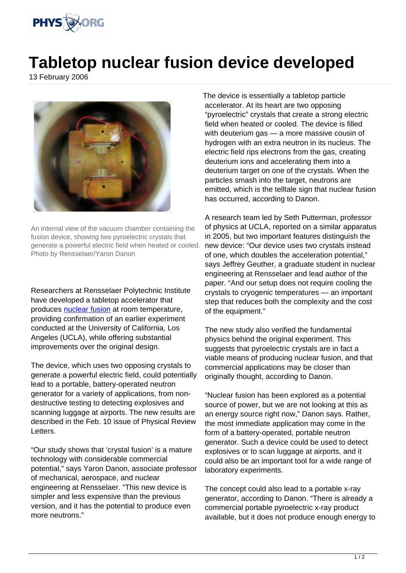

## **Tabletop nuclear fusion device developed**

13 February 2006



An internal view of the vacuum chamber containing the fusion device, showing two pyroelectric crystals that generate a powerful electric field when heated or cooled. Photo by Rensselaer/Yaron Danon

Researchers at Rensselaer Polytechnic Institute have developed a tabletop accelerator that produces [nuclear fusion](http://www.physorg.com/search/nuclear fusion) at room temperature, providing confirmation of an earlier experiment conducted at the University of California, Los Angeles (UCLA), while offering substantial improvements over the original design.

The device, which uses two opposing crystals to generate a powerful electric field, could potentially lead to a portable, battery-operated neutron generator for a variety of applications, from nondestructive testing to detecting explosives and scanning luggage at airports. The new results are described in the Feb. 10 issue of Physical Review Letters.

"Our study shows that 'crystal fusion' is a mature technology with considerable commercial potential," says Yaron Danon, associate professor of mechanical, aerospace, and nuclear engineering at Rensselaer. "This new device is simpler and less expensive than the previous version, and it has the potential to produce even more neutrons."

The device is essentially a tabletop particle accelerator. At its heart are two opposing "pyroelectric" crystals that create a strong electric field when heated or cooled. The device is filled with deuterium gas — a more massive cousin of hydrogen with an extra neutron in its nucleus. The electric field rips electrons from the gas, creating deuterium ions and accelerating them into a deuterium target on one of the crystals. When the particles smash into the target, neutrons are emitted, which is the telltale sign that nuclear fusion has occurred, according to Danon.

A research team led by Seth Putterman, professor of physics at UCLA, reported on a similar apparatus in 2005, but two important features distinguish the new device: "Our device uses two crystals instead of one, which doubles the acceleration potential," says Jeffrey Geuther, a graduate student in nuclear engineering at Rensselaer and lead author of the paper. "And our setup does not require cooling the crystals to cryogenic temperatures — an important step that reduces both the complexity and the cost of the equipment."

The new study also verified the fundamental physics behind the original experiment. This suggests that pyroelectric crystals are in fact a viable means of producing nuclear fusion, and that commercial applications may be closer than originally thought, according to Danon.

"Nuclear fusion has been explored as a potential source of power, but we are not looking at this as an energy source right now," Danon says. Rather, the most immediate application may come in the form of a battery-operated, portable neutron generator. Such a device could be used to detect explosives or to scan luggage at airports, and it could also be an important tool for a wide range of laboratory experiments.

The concept could also lead to a portable x-ray generator, according to Danon. "There is already a commercial portable pyroelectric x-ray product available, but it does not produce enough energy to